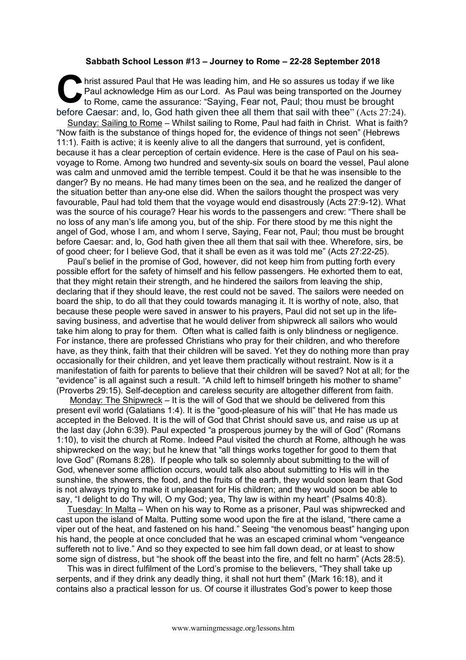## **Sabbath School Lesson #13 – Journey to Rome – 22-28 September 2018**

hrist assured Paul that He was leading him, and He so assures us today if we like<br>Paul acknowledge Him as our Lord. As Paul was being transported on the Journe<br>to Rome, came the assurance: "Saying, Fear not, Paul; thou mus Paul acknowledge Him as our Lord. As Paul was being transported on the Journey to Rome, came the assurance: "Saying, Fear not, Paul; thou must be brought before Caesar: and, lo, God hath given thee all them that sail with thee" (Acts 27:24). Sunday: Sailing to Rome – Whilst sailing to Rome, Paul had faith in Christ. What is faith? "Now faith is the substance of things hoped for, the evidence of things not seen" (Hebrews 11:1). Faith is active; it is keenly alive to all the dangers that surround, yet is confident, because it has a clear perception of certain evidence. Here is the case of Paul on his seavoyage to Rome. Among two hundred and seventy-six souls on board the vessel, Paul alone was calm and unmoved amid the terrible tempest. Could it be that he was insensible to the danger? By no means. He had many times been on the sea, and he realized the danger of the situation better than any-one else did. When the sailors thought the prospect was very favourable, Paul had told them that the voyage would end disastrously (Acts 27:9-12). What was the source of his courage? Hear his words to the passengers and crew: "There shall be no loss of any man's life among you, but of the ship. For there stood by me this night the angel of God, whose I am, and whom I serve, Saying, Fear not, Paul; thou must be brought before Caesar: and, lo, God hath given thee all them that sail with thee. Wherefore, sirs, be of good cheer; for I believe God, that it shall be even as it was told me" (Acts 27:22-25).

Paul's belief in the promise of God, however, did not keep him from putting forth every possible effort for the safety of himself and his fellow passengers. He exhorted them to eat, that they might retain their strength, and he hindered the sailors from leaving the ship, declaring that if they should leave, the rest could not be saved. The sailors were needed on board the ship, to do all that they could towards managing it. It is worthy of note, also, that because these people were saved in answer to his prayers, Paul did not set up in the lifesaving business, and advertise that he would deliver from shipwreck all sailors who would take him along to pray for them. Often what is called faith is only blindness or negligence. For instance, there are professed Christians who pray for their children, and who therefore have, as they think, faith that their children will be saved. Yet they do nothing more than pray occasionally for their children, and yet leave them practically without restraint. Now is it a manifestation of faith for parents to believe that their children will be saved? Not at all; for the "evidence" is all against such a result. "A child left to himself bringeth his mother to shame" (Proverbs 29:15). Self-deception and careless security are altogether different from faith.

Monday: The Shipwreck – It is the will of God that we should be delivered from this present evil world (Galatians 1:4). It is the "good-pleasure of his will" that He has made us accepted in the Beloved. It is the will of God that Christ should save us, and raise us up at the last day (John 6:39). Paul expected "a prosperous journey by the will of God" (Romans 1:10), to visit the church at Rome. Indeed Paul visited the church at Rome, although he was shipwrecked on the way; but he knew that "all things works together for good to them that love God" (Romans 8:28). If people who talk so solemnly about submitting to the will of God, whenever some affliction occurs, would talk also about submitting to His will in the sunshine, the showers, the food, and the fruits of the earth, they would soon learn that God is not always trying to make it unpleasant for His children; and they would soon be able to say, "I delight to do Thy will, O my God; yea, Thy law is within my heart" (Psalms 40:8).

Tuesday: In Malta – When on his way to Rome as a prisoner, Paul was shipwrecked and cast upon the island of Malta. Putting some wood upon the fire at the island, "there came a viper out of the heat, and fastened on his hand." Seeing "the venomous beast" hanging upon his hand, the people at once concluded that he was an escaped criminal whom "vengeance suffereth not to live." And so they expected to see him fall down dead, or at least to show some sign of distress, but "he shook off the beast into the fire, and felt no harm" (Acts 28:5).

This was in direct fulfilment of the Lord's promise to the believers, "They shall take up serpents, and if they drink any deadly thing, it shall not hurt them" (Mark 16:18), and it contains also a practical lesson for us. Of course it illustrates God's power to keep those